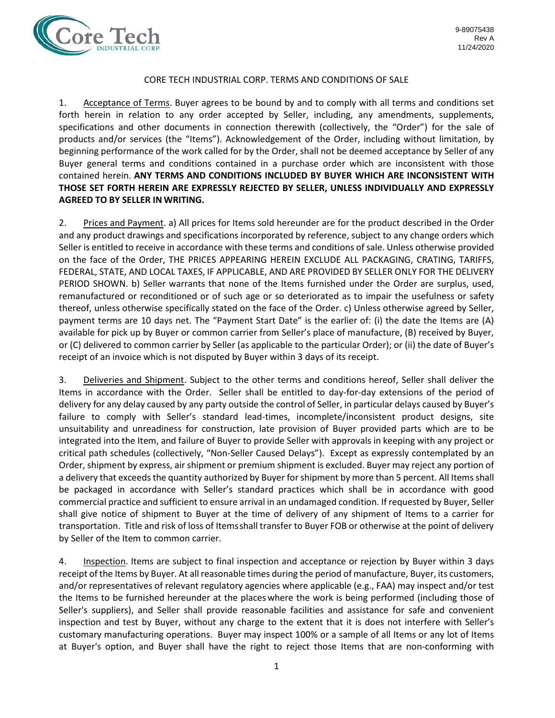

## CORE TECH INDUSTRIAL CORP. TERMS AND CONDITIONS OF SALE

1. Acceptance of Terms. Buyer agrees to be bound by and to comply with all terms and conditions set forth herein in relation to any order accepted by Seller, including, any amendments, supplements, specifications and other documents in connection therewith (collectively, the "Order") for the sale of products and/or services (the "Items"). Acknowledgement of the Order, including without limitation, by beginning performance of the work called for by the Order, shall not be deemed acceptance by Seller of any Buyer general terms and conditions contained in a purchase order which are inconsistent with those contained herein. **ANY TERMS AND CONDITIONS INCLUDED BY BUYER WHICH ARE INCONSISTENT WITH THOSE SET FORTH HEREIN ARE EXPRESSLY REJECTED BY SELLER, UNLESS INDIVIDUALLY AND EXPRESSLY AGREED TO BY SELLER IN WRITING.**

2. Prices and Payment. a) All prices for Items sold hereunder are for the product described in the Order and any product drawings and specifications incorporated by reference, subject to any change orders which Seller is entitled to receive in accordance with these terms and conditions of sale. Unless otherwise provided on the face of the Order, THE PRICES APPEARING HEREIN EXCLUDE ALL PACKAGING, CRATING, TARIFFS, FEDERAL, STATE, AND LOCAL TAXES, IF APPLICABLE, AND ARE PROVIDED BY SELLER ONLY FOR THE DELIVERY PERIOD SHOWN. b) Seller warrants that none of the Items furnished under the Order are surplus, used, remanufactured or reconditioned or of such age or so deteriorated as to impair the usefulness or safety thereof, unless otherwise specifically stated on the face of the Order. c) Unless otherwise agreed by Seller, payment terms are 10 days net. The "Payment Start Date" is the earlier of: (i) the date the Items are (A) available for pick up by Buyer or common carrier from Seller's place of manufacture, (B) received by Buyer, or (C) delivered to common carrier by Seller (as applicable to the particular Order); or (ii) the date of Buyer's receipt of an invoice which is not disputed by Buyer within 3 days of its receipt.

3. Deliveries and Shipment. Subject to the other terms and conditions hereof, Seller shall deliver the Items in accordance with the Order. Seller shall be entitled to day-for-day extensions of the period of delivery for any delay caused by any party outside the control of Seller, in particular delays caused by Buyer's failure to comply with Seller's standard lead-times, incomplete/inconsistent product designs, site unsuitability and unreadiness for construction, late provision of Buyer provided parts which are to be integrated into the Item, and failure of Buyer to provide Seller with approvals in keeping with any project or critical path schedules (collectively, "Non-Seller Caused Delays"). Except as expressly contemplated by an Order, shipment by express, air shipment or premium shipment is excluded. Buyer may reject any portion of a delivery that exceeds the quantity authorized by Buyer for shipment by more than 5 percent. All Items shall be packaged in accordance with Seller's standard practices which shall be in accordance with good commercial practice and sufficient to ensure arrival in an undamaged condition. If requested by Buyer, Seller shall give notice of shipment to Buyer at the time of delivery of any shipment of Items to a carrier for transportation. Title and risk of loss of Itemsshall transfer to Buyer FOB or otherwise at the point of delivery by Seller of the Item to common carrier.

4. Inspection. Items are subject to final inspection and acceptance or rejection by Buyer within 3 days receipt of the Items by Buyer. At all reasonable times during the period of manufacture, Buyer, its customers, and/or representatives of relevant regulatory agencies where applicable (e.g., FAA) may inspect and/or test the Items to be furnished hereunder at the places where the work is being performed (including those of Seller's suppliers), and Seller shall provide reasonable facilities and assistance for safe and convenient inspection and test by Buyer, without any charge to the extent that it is does not interfere with Seller's customary manufacturing operations. Buyer may inspect 100% or a sample of all Items or any lot of Items at Buyer's option, and Buyer shall have the right to reject those Items that are non-conforming with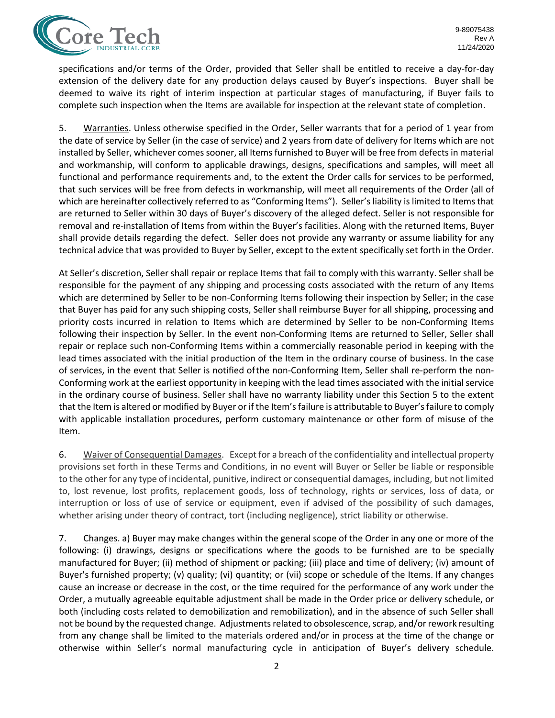

specifications and/or terms of the Order, provided that Seller shall be entitled to receive a day-for-day extension of the delivery date for any production delays caused by Buyer's inspections. Buyer shall be deemed to waive its right of interim inspection at particular stages of manufacturing, if Buyer fails to complete such inspection when the Items are available for inspection at the relevant state of completion.

5. Warranties. Unless otherwise specified in the Order, Seller warrants that for a period of 1 year from the date of service by Seller (in the case of service) and 2 years from date of delivery for Items which are not installed by Seller, whichever comes sooner, all Items furnished to Buyer will be free from defects in material and workmanship, will conform to applicable drawings, designs, specifications and samples, will meet all functional and performance requirements and, to the extent the Order calls for services to be performed, that such services will be free from defects in workmanship, will meet all requirements of the Order (all of which are hereinafter collectively referred to as "Conforming Items"). Seller's liability is limited to Items that are returned to Seller within 30 days of Buyer's discovery of the alleged defect. Seller is not responsible for removal and re-installation of Items from within the Buyer's facilities. Along with the returned Items, Buyer shall provide details regarding the defect. Seller does not provide any warranty or assume liability for any technical advice that was provided to Buyer by Seller, except to the extent specifically set forth in the Order.

At Seller's discretion, Seller shall repair or replace Items that fail to comply with this warranty. Seller shall be responsible for the payment of any shipping and processing costs associated with the return of any Items which are determined by Seller to be non-Conforming Items following their inspection by Seller; in the case that Buyer has paid for any such shipping costs, Seller shall reimburse Buyer for all shipping, processing and priority costs incurred in relation to Items which are determined by Seller to be non-Conforming Items following their inspection by Seller. In the event non-Conforming Items are returned to Seller, Seller shall repair or replace such non-Conforming Items within a commercially reasonable period in keeping with the lead times associated with the initial production of the Item in the ordinary course of business. In the case of services, in the event that Seller is notified ofthe non-Conforming Item, Seller shall re-perform the non-Conforming work at the earliest opportunity in keeping with the lead times associated with the initial service in the ordinary course of business. Seller shall have no warranty liability under this Section 5 to the extent that the Item is altered or modified by Buyer or if the Item's failure is attributable to Buyer's failure to comply with applicable installation procedures, perform customary maintenance or other form of misuse of the Item.

6. Waiver of Consequential Damages. Except for a breach of the confidentiality and intellectual property provisions set forth in these Terms and Conditions, in no event will Buyer or Seller be liable or responsible to the other for any type of incidental, punitive, indirect or consequential damages, including, but not limited to, lost revenue, lost profits, replacement goods, loss of technology, rights or services, loss of data, or interruption or loss of use of service or equipment, even if advised of the possibility of such damages, whether arising under theory of contract, tort (including negligence), strict liability or otherwise.

7. Changes. a) Buyer may make changes within the general scope of the Order in any one or more of the following: (i) drawings, designs or specifications where the goods to be furnished are to be specially manufactured for Buyer; (ii) method of shipment or packing; (iii) place and time of delivery; (iv) amount of Buyer's furnished property; (v) quality; (vi) quantity; or (vii) scope or schedule of the Items. If any changes cause an increase or decrease in the cost, or the time required for the performance of any work under the Order, a mutually agreeable equitable adjustment shall be made in the Order price or delivery schedule, or both (including costs related to demobilization and remobilization), and in the absence of such Seller shall not be bound by the requested change. Adjustments related to obsolescence, scrap, and/or rework resulting from any change shall be limited to the materials ordered and/or in process at the time of the change or otherwise within Seller's normal manufacturing cycle in anticipation of Buyer's delivery schedule.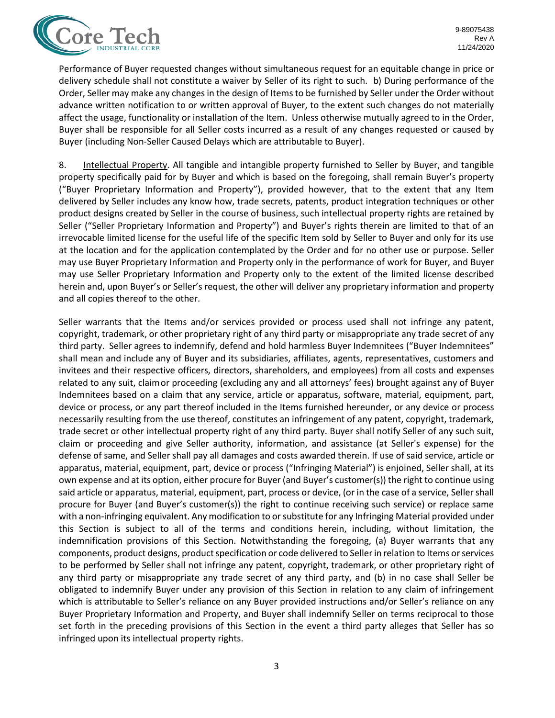

Performance of Buyer requested changes without simultaneous request for an equitable change in price or delivery schedule shall not constitute a waiver by Seller of its right to such. b) During performance of the Order, Seller may make any changes in the design of Items to be furnished by Seller under the Order without advance written notification to or written approval of Buyer, to the extent such changes do not materially affect the usage, functionality or installation of the Item. Unless otherwise mutually agreed to in the Order, Buyer shall be responsible for all Seller costs incurred as a result of any changes requested or caused by Buyer (including Non-Seller Caused Delays which are attributable to Buyer).

8. Intellectual Property. All tangible and intangible property furnished to Seller by Buyer, and tangible property specifically paid for by Buyer and which is based on the foregoing, shall remain Buyer's property ("Buyer Proprietary Information and Property"), provided however, that to the extent that any Item delivered by Seller includes any know how, trade secrets, patents, product integration techniques or other product designs created by Seller in the course of business, such intellectual property rights are retained by Seller ("Seller Proprietary Information and Property") and Buyer's rights therein are limited to that of an irrevocable limited license for the useful life of the specific Item sold by Seller to Buyer and only for its use at the location and for the application contemplated by the Order and for no other use or purpose. Seller may use Buyer Proprietary Information and Property only in the performance of work for Buyer, and Buyer may use Seller Proprietary Information and Property only to the extent of the limited license described herein and, upon Buyer's or Seller's request, the other will deliver any proprietary information and property and all copies thereof to the other.

Seller warrants that the Items and/or services provided or process used shall not infringe any patent, copyright, trademark, or other proprietary right of any third party or misappropriate any trade secret of any third party. Seller agrees to indemnify, defend and hold harmless Buyer Indemnitees ("Buyer Indemnitees" shall mean and include any of Buyer and its subsidiaries, affiliates, agents, representatives, customers and invitees and their respective officers, directors, shareholders, and employees) from all costs and expenses related to any suit, claimor proceeding (excluding any and all attorneys' fees) brought against any of Buyer Indemnitees based on a claim that any service, article or apparatus, software, material, equipment, part, device or process, or any part thereof included in the Items furnished hereunder, or any device or process necessarily resulting from the use thereof, constitutes an infringement of any patent, copyright, trademark, trade secret or other intellectual property right of any third party. Buyer shall notify Seller of any such suit, claim or proceeding and give Seller authority, information, and assistance (at Seller's expense) for the defense of same, and Seller shall pay all damages and costs awarded therein. If use of said service, article or apparatus, material, equipment, part, device or process ("Infringing Material") is enjoined, Seller shall, at its own expense and at its option, either procure for Buyer (and Buyer's customer(s)) the right to continue using said article or apparatus, material, equipment, part, process or device, (or in the case of a service, Seller shall procure for Buyer (and Buyer's customer(s)) the right to continue receiving such service) or replace same with a non-infringing equivalent. Any modification to or substitute for any Infringing Material provided under this Section is subject to all of the terms and conditions herein, including, without limitation, the indemnification provisions of this Section. Notwithstanding the foregoing, (a) Buyer warrants that any components, product designs, product specification or code delivered to Seller in relation to Items or services to be performed by Seller shall not infringe any patent, copyright, trademark, or other proprietary right of any third party or misappropriate any trade secret of any third party, and (b) in no case shall Seller be obligated to indemnify Buyer under any provision of this Section in relation to any claim of infringement which is attributable to Seller's reliance on any Buyer provided instructions and/or Seller's reliance on any Buyer Proprietary Information and Property, and Buyer shall indemnify Seller on terms reciprocal to those set forth in the preceding provisions of this Section in the event a third party alleges that Seller has so infringed upon its intellectual property rights.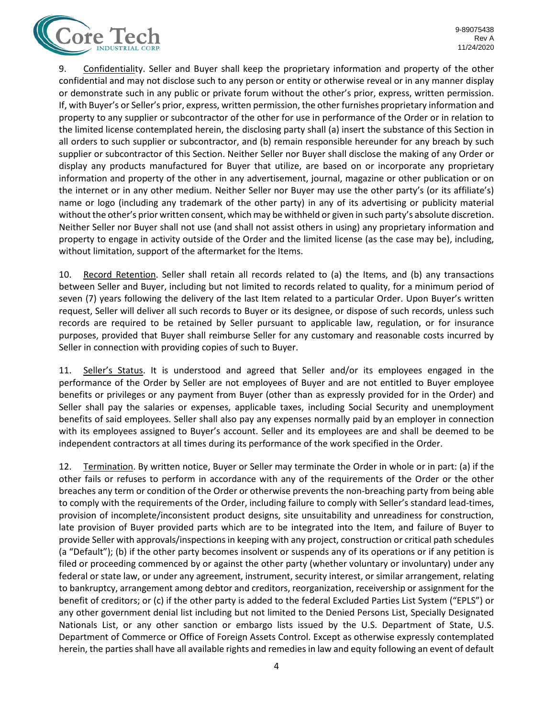

9. Confidentiality. Seller and Buyer shall keep the proprietary information and property of the other confidential and may not disclose such to any person or entity or otherwise reveal or in any manner display or demonstrate such in any public or private forum without the other's prior, express, written permission. If, with Buyer's or Seller's prior, express, written permission, the other furnishes proprietary information and property to any supplier or subcontractor of the other for use in performance of the Order or in relation to the limited license contemplated herein, the disclosing party shall (a) insert the substance of this Section in all orders to such supplier or subcontractor, and (b) remain responsible hereunder for any breach by such supplier or subcontractor of this Section. Neither Seller nor Buyer shall disclose the making of any Order or display any products manufactured for Buyer that utilize, are based on or incorporate any proprietary information and property of the other in any advertisement, journal, magazine or other publication or on the internet or in any other medium. Neither Seller nor Buyer may use the other party's (or its affiliate's) name or logo (including any trademark of the other party) in any of its advertising or publicity material without the other's prior written consent, which may be withheld or given in such party's absolute discretion. Neither Seller nor Buyer shall not use (and shall not assist others in using) any proprietary information and property to engage in activity outside of the Order and the limited license (as the case may be), including, without limitation, support of the aftermarket for the Items.

10. Record Retention. Seller shall retain all records related to (a) the Items, and (b) any transactions between Seller and Buyer, including but not limited to records related to quality, for a minimum period of seven (7) years following the delivery of the last Item related to a particular Order. Upon Buyer's written request, Seller will deliver all such records to Buyer or its designee, or dispose of such records, unless such records are required to be retained by Seller pursuant to applicable law, regulation, or for insurance purposes, provided that Buyer shall reimburse Seller for any customary and reasonable costs incurred by Seller in connection with providing copies of such to Buyer.

11. Seller's Status. It is understood and agreed that Seller and/or its employees engaged in the performance of the Order by Seller are not employees of Buyer and are not entitled to Buyer employee benefits or privileges or any payment from Buyer (other than as expressly provided for in the Order) and Seller shall pay the salaries or expenses, applicable taxes, including Social Security and unemployment benefits of said employees. Seller shall also pay any expenses normally paid by an employer in connection with its employees assigned to Buyer's account. Seller and its employees are and shall be deemed to be independent contractors at all times during its performance of the work specified in the Order.

12. Termination. By written notice, Buyer or Seller may terminate the Order in whole or in part: (a) if the other fails or refuses to perform in accordance with any of the requirements of the Order or the other breaches any term or condition of the Order or otherwise prevents the non-breaching party from being able to comply with the requirements of the Order, including failure to comply with Seller's standard lead-times, provision of incomplete/inconsistent product designs, site unsuitability and unreadiness for construction, late provision of Buyer provided parts which are to be integrated into the Item, and failure of Buyer to provide Seller with approvals/inspections in keeping with any project, construction or critical path schedules (a "Default"); (b) if the other party becomes insolvent or suspends any of its operations or if any petition is filed or proceeding commenced by or against the other party (whether voluntary or involuntary) under any federal or state law, or under any agreement, instrument, security interest, or similar arrangement, relating to bankruptcy, arrangement among debtor and creditors, reorganization, receivership or assignment for the benefit of creditors; or (c) if the other party is added to the federal Excluded Parties List System ("EPLS") or any other government denial list including but not limited to the Denied Persons List, Specially Designated Nationals List, or any other sanction or embargo lists issued by the U.S. Department of State, U.S. Department of Commerce or Office of Foreign Assets Control. Except as otherwise expressly contemplated herein, the parties shall have all available rights and remedies in law and equity following an event of default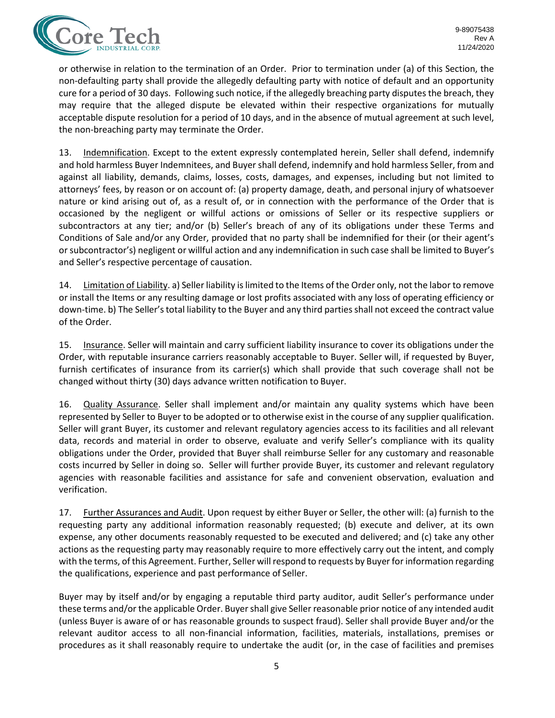

or otherwise in relation to the termination of an Order. Prior to termination under (a) of this Section, the non-defaulting party shall provide the allegedly defaulting party with notice of default and an opportunity cure for a period of 30 days. Following such notice, if the allegedly breaching party disputes the breach, they may require that the alleged dispute be elevated within their respective organizations for mutually acceptable dispute resolution for a period of 10 days, and in the absence of mutual agreement at such level, the non-breaching party may terminate the Order.

13. Indemnification. Except to the extent expressly contemplated herein, Seller shall defend, indemnify and hold harmless Buyer Indemnitees, and Buyer shall defend, indemnify and hold harmless Seller, from and against all liability, demands, claims, losses, costs, damages, and expenses, including but not limited to attorneys' fees, by reason or on account of: (a) property damage, death, and personal injury of whatsoever nature or kind arising out of, as a result of, or in connection with the performance of the Order that is occasioned by the negligent or willful actions or omissions of Seller or its respective suppliers or subcontractors at any tier; and/or (b) Seller's breach of any of its obligations under these Terms and Conditions of Sale and/or any Order, provided that no party shall be indemnified for their (or their agent's or subcontractor's) negligent or willful action and any indemnification in such case shall be limited to Buyer's and Seller's respective percentage of causation.

14. Limitation of Liability. a) Seller liability is limited to the Items of the Order only, not the labor to remove or install the Items or any resulting damage or lost profits associated with any loss of operating efficiency or down-time. b) The Seller's total liability to the Buyer and any third parties shall not exceed the contract value of the Order.

15. Insurance. Seller will maintain and carry sufficient liability insurance to cover its obligations under the Order, with reputable insurance carriers reasonably acceptable to Buyer. Seller will, if requested by Buyer, furnish certificates of insurance from its carrier(s) which shall provide that such coverage shall not be changed without thirty (30) days advance written notification to Buyer.

16. Quality Assurance. Seller shall implement and/or maintain any quality systems which have been represented by Seller to Buyer to be adopted or to otherwise exist in the course of any supplier qualification. Seller will grant Buyer, its customer and relevant regulatory agencies access to its facilities and all relevant data, records and material in order to observe, evaluate and verify Seller's compliance with its quality obligations under the Order, provided that Buyer shall reimburse Seller for any customary and reasonable costs incurred by Seller in doing so. Seller will further provide Buyer, its customer and relevant regulatory agencies with reasonable facilities and assistance for safe and convenient observation, evaluation and verification.

17. Further Assurances and Audit. Upon request by either Buyer or Seller, the other will: (a) furnish to the requesting party any additional information reasonably requested; (b) execute and deliver, at its own expense, any other documents reasonably requested to be executed and delivered; and (c) take any other actions as the requesting party may reasonably require to more effectively carry out the intent, and comply with the terms, of this Agreement. Further, Seller will respond to requests by Buyer for information regarding the qualifications, experience and past performance of Seller.

Buyer may by itself and/or by engaging a reputable third party auditor, audit Seller's performance under these terms and/or the applicable Order. Buyer shall give Seller reasonable prior notice of any intended audit (unless Buyer is aware of or has reasonable grounds to suspect fraud). Seller shall provide Buyer and/or the relevant auditor access to all non-financial information, facilities, materials, installations, premises or procedures as it shall reasonably require to undertake the audit (or, in the case of facilities and premises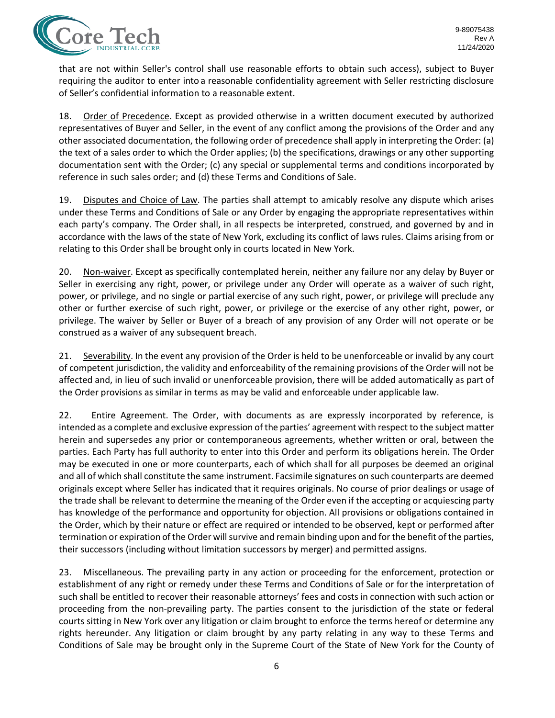

that are not within Seller's control shall use reasonable efforts to obtain such access), subject to Buyer requiring the auditor to enter into a reasonable confidentiality agreement with Seller restricting disclosure of Seller's confidential information to a reasonable extent.

18. Order of Precedence. Except as provided otherwise in a written document executed by authorized representatives of Buyer and Seller, in the event of any conflict among the provisions of the Order and any other associated documentation, the following order of precedence shall apply in interpreting the Order: (a) the text of a sales order to which the Order applies; (b) the specifications, drawings or any other supporting documentation sent with the Order; (c) any special or supplemental terms and conditions incorporated by reference in such sales order; and (d) these Terms and Conditions of Sale.

19. Disputes and Choice of Law. The parties shall attempt to amicably resolve any dispute which arises under these Terms and Conditions of Sale or any Order by engaging the appropriate representatives within each party's company. The Order shall, in all respects be interpreted, construed, and governed by and in accordance with the laws of the state of New York, excluding its conflict of laws rules. Claims arising from or relating to this Order shall be brought only in courts located in New York.

20. Non-waiver. Except as specifically contemplated herein, neither any failure nor any delay by Buyer or Seller in exercising any right, power, or privilege under any Order will operate as a waiver of such right, power, or privilege, and no single or partial exercise of any such right, power, or privilege will preclude any other or further exercise of such right, power, or privilege or the exercise of any other right, power, or privilege. The waiver by Seller or Buyer of a breach of any provision of any Order will not operate or be construed as a waiver of any subsequent breach.

21. Severability. In the event any provision of the Order is held to be unenforceable or invalid by any court of competent jurisdiction, the validity and enforceability of the remaining provisions of the Order will not be affected and, in lieu of such invalid or unenforceable provision, there will be added automatically as part of the Order provisions as similar in terms as may be valid and enforceable under applicable law.

22. Entire Agreement. The Order, with documents as are expressly incorporated by reference, is intended as a complete and exclusive expression of the parties' agreement with respect to the subject matter herein and supersedes any prior or contemporaneous agreements, whether written or oral, between the parties. Each Party has full authority to enter into this Order and perform its obligations herein. The Order may be executed in one or more counterparts, each of which shall for all purposes be deemed an original and all of which shall constitute the same instrument. Facsimile signatures on such counterparts are deemed originals except where Seller has indicated that it requires originals. No course of prior dealings or usage of the trade shall be relevant to determine the meaning of the Order even if the accepting or acquiescing party has knowledge of the performance and opportunity for objection. All provisions or obligations contained in the Order, which by their nature or effect are required or intended to be observed, kept or performed after termination or expiration of the Order will survive and remain binding upon and for the benefit of the parties, their successors (including without limitation successors by merger) and permitted assigns.

23. Miscellaneous. The prevailing party in any action or proceeding for the enforcement, protection or establishment of any right or remedy under these Terms and Conditions of Sale or forthe interpretation of such shall be entitled to recover their reasonable attorneys' fees and costs in connection with such action or proceeding from the non-prevailing party. The parties consent to the jurisdiction of the state or federal courts sitting in New York over any litigation or claim brought to enforce the terms hereof or determine any rights hereunder. Any litigation or claim brought by any party relating in any way to these Terms and Conditions of Sale may be brought only in the Supreme Court of the State of New York for the County of